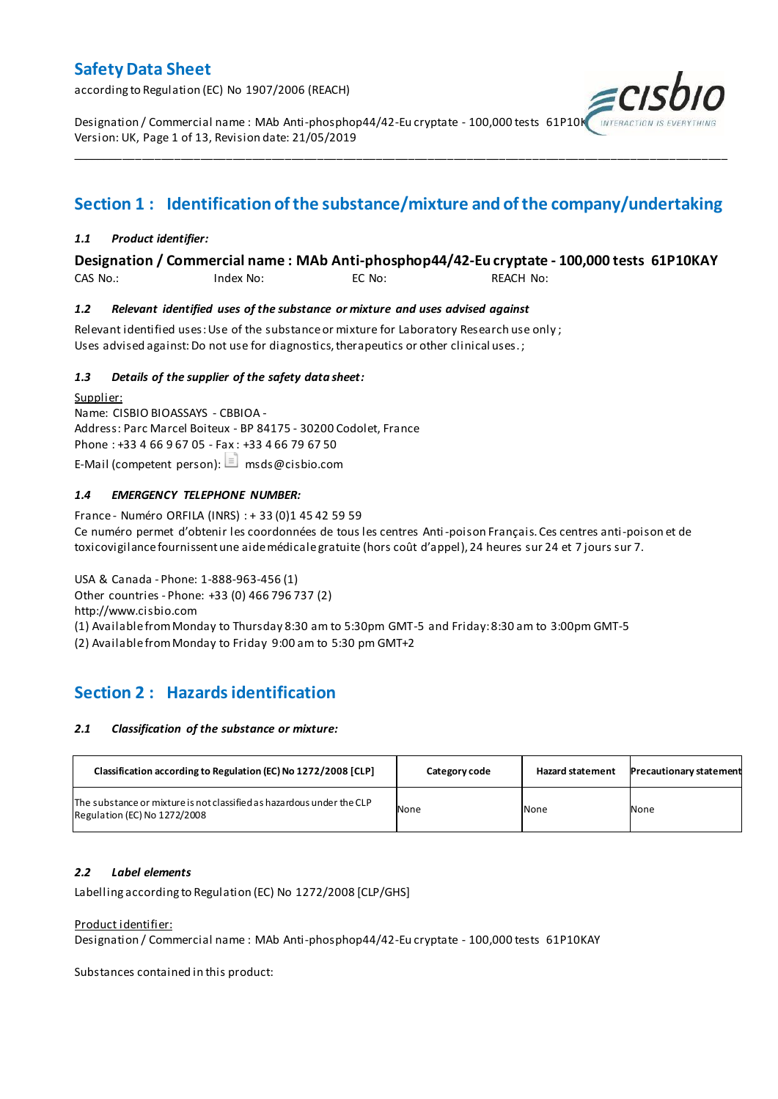according to Regulation (EC) No 1907/2006 (REACH)

Designation / Commercial name : MAb Anti-phosphop44/42-Eu cryptate - 100,000 tests 61P10K Version: UK, Page 1 of 13, Revision date: 21/05/2019

## **Section 1 : Identification of the substance/mixture and of the company/undertaking**

\_\_\_\_\_\_\_\_\_\_\_\_\_\_\_\_\_\_\_\_\_\_\_\_\_\_\_\_\_\_\_\_\_\_\_\_\_\_\_\_\_\_\_\_\_\_\_\_\_\_\_\_\_\_\_\_\_\_\_\_\_\_\_\_\_\_\_\_\_\_\_\_\_\_\_\_\_\_\_\_\_\_\_\_\_\_\_\_\_\_\_\_\_\_\_\_\_\_\_\_\_

### *1.1 Product identifier:*

### **Designation / Commercial name : MAb Anti-phosphop44/42-Eu cryptate - 100,000 tests 61P10KAY**

CAS No.: Index No: EC No: REACH No:

### *1.2 Relevant identified uses of the substance or mixture and uses advised against*

Relevant identified uses: Use of the substance or mixture for Laboratory Research use only ; Uses advised against: Do not use for diagnostics, therapeutics or other clinical uses.;

### *1.3 Details of the supplier of the safety data sheet:*

Supplier: Name: CISBIO BIOASSAYS - CBBIOA - Address: Parc Marcel Boiteux - BP 84175 - 30200 Codolet, France Phone : +33 4 66 9 67 05 - Fax : +33 4 66 79 67 50 E-Mail (competent person):  $\Box$  msds@cisbio.com

### *1.4 EMERGENCY TELEPHONE NUMBER:*

France - Numéro ORFILA (INRS) : + 33 (0)1 45 42 59 59 Ce numéro permet d'obtenir les coordonnées de tous les centres Anti-poison Français. Ces centres anti-poison et de toxicovigilance fournissent une aide médicale gratuite (hors coût d'appel), 24 heures sur 24 et 7 jours sur 7.

USA & Canada - Phone: 1-888-963-456 (1) Other countries - Phone: +33 (0) 466 796 737 (2) http://www.cisbio.com (1) Available from Monday to Thursday 8:30 am to 5:30pm GMT-5 and Friday: 8:30 am to 3:00pm GMT-5

(2) Available from Monday to Friday 9:00 am to 5:30 pm GMT+2

## **Section 2 : Hazards identification**

### *2.1 Classification of the substance or mixture:*

| Classification according to Regulation (EC) No 1272/2008 [CLP]                                        | Category code | <b>Hazard statement</b> | <b>Precautionary statement</b> |
|-------------------------------------------------------------------------------------------------------|---------------|-------------------------|--------------------------------|
| The substance or mixture is not classified as hazardous under the CLP<br>Regulation (EC) No 1272/2008 | None          | None                    | None                           |

### *2.2 Label elements*

Labelling according to Regulation (EC) No 1272/2008 [CLP/GHS]

### Product identifier:

Designation / Commercial name : MAb Anti-phosphop44/42-Eu cryptate - 100,000 tests 61P10KAY

Substances contained in this product: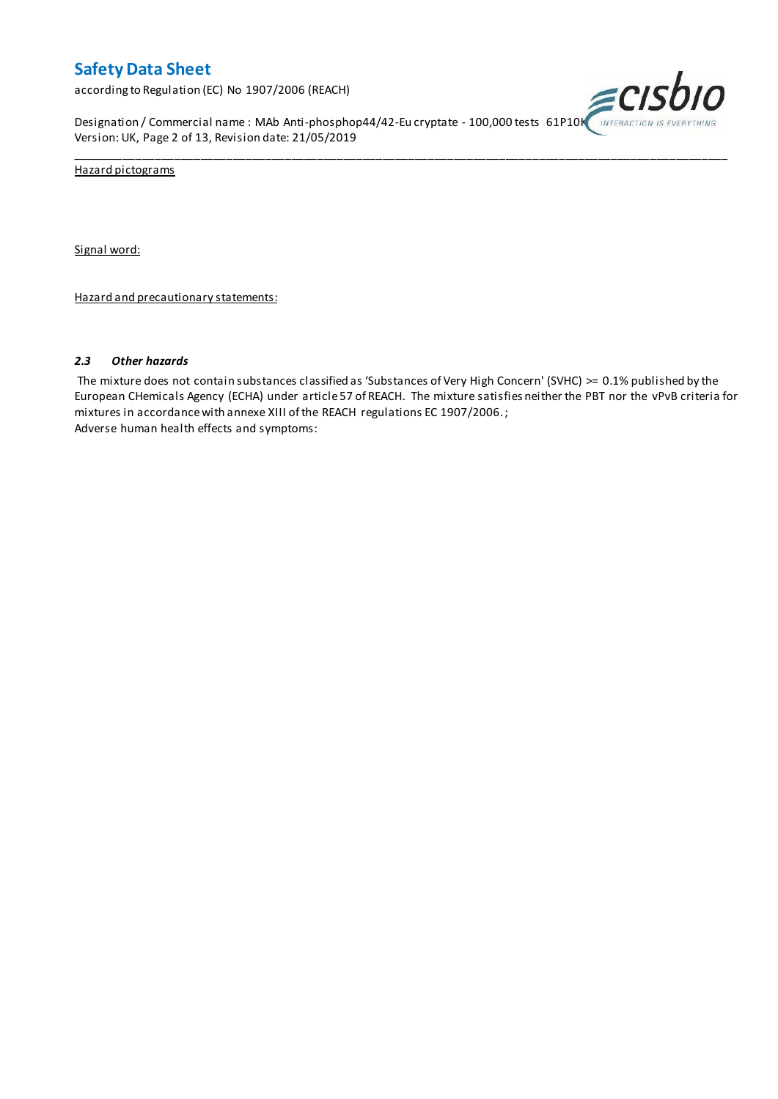according to Regulation (EC) No 1907/2006 (REACH)

Designation / Commercial name : MAb Anti-phosphop44/42-Eu cryptate - 100,000 tests 61P10K INTERACTION IS EVERYTHING Version: UK, Page 2 of 13, Revision date: 21/05/2019



Hazard pictograms

Signal word:

Hazard and precautionary statements:

### *2.3 Other hazards*

The mixture does not contain substances classified as 'Substances of Very High Concern' (SVHC) >= 0.1% published by the European CHemicals Agency (ECHA) under article 57 of REACH. The mixture satisfies neither the PBT nor the vPvB criteria for mixtures in accordance with annexe XIII of the REACH regulations EC 1907/2006. ; Adverse human health effects and symptoms:

\_\_\_\_\_\_\_\_\_\_\_\_\_\_\_\_\_\_\_\_\_\_\_\_\_\_\_\_\_\_\_\_\_\_\_\_\_\_\_\_\_\_\_\_\_\_\_\_\_\_\_\_\_\_\_\_\_\_\_\_\_\_\_\_\_\_\_\_\_\_\_\_\_\_\_\_\_\_\_\_\_\_\_\_\_\_\_\_\_\_\_\_\_\_\_\_\_\_\_\_\_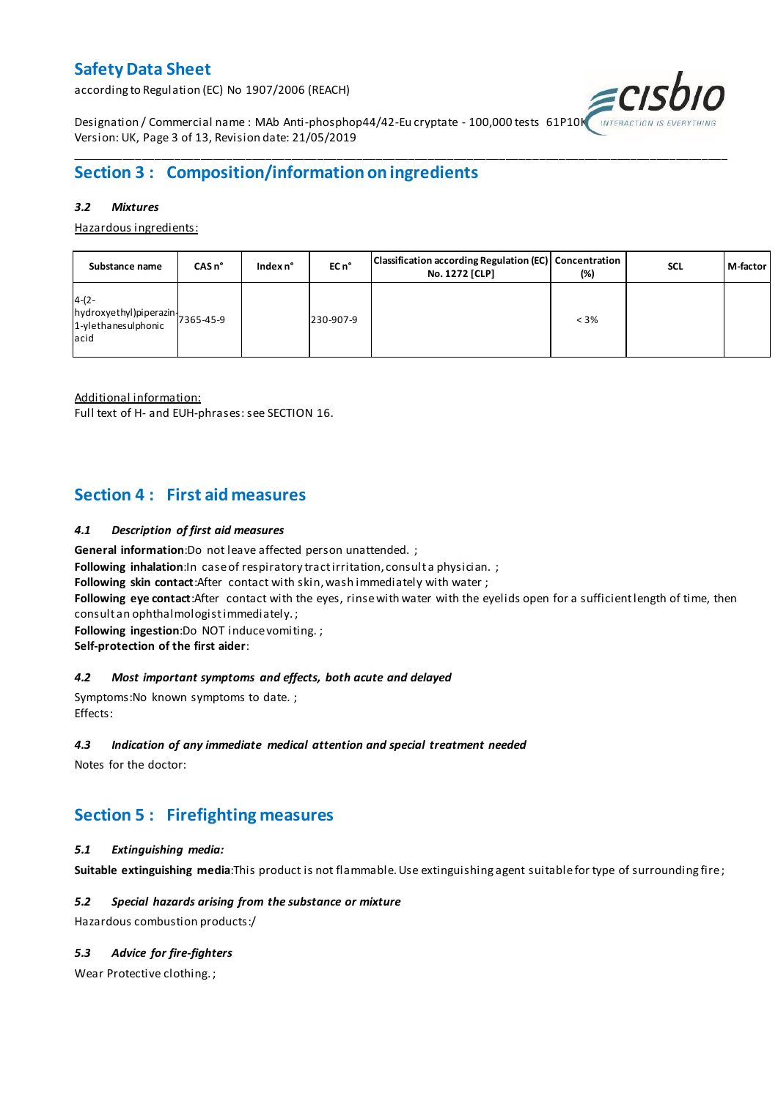according to Regulation (EC) No 1907/2006 (REACH)



Designation / Commercial name : MAb Anti-phosphop44/42-Eu cryptate - 100,000 tests 61P10K Version: UK, Page 3 of 13, Revision date: 21/05/2019

## **Section 3 : Composition/information on ingredients**

### *3.2 Mixtures*

Hazardous ingredients:

| Substance name                                                                 | $CASn^{\circ}$ | Index n° | EC n <sup>o</sup> | Classification according Regulation (EC) Concentration<br>No. 1272 [CLP] | (%)     | <b>SCL</b> | M-factor |
|--------------------------------------------------------------------------------|----------------|----------|-------------------|--------------------------------------------------------------------------|---------|------------|----------|
| $4-(2-$<br>hydroxyethyl)piperazin<br>7365-45-9<br>1-ylethanesulphonic<br>lacid |                |          | 230-907-9         |                                                                          | $< 3\%$ |            |          |

\_\_\_\_\_\_\_\_\_\_\_\_\_\_\_\_\_\_\_\_\_\_\_\_\_\_\_\_\_\_\_\_\_\_\_\_\_\_\_\_\_\_\_\_\_\_\_\_\_\_\_\_\_\_\_\_\_\_\_\_\_\_\_\_\_\_\_\_\_\_\_\_\_\_\_\_\_\_\_\_\_\_\_\_\_\_\_\_\_\_\_\_\_\_\_\_\_\_\_\_\_

Additional information:

Full text of H- and EUH-phrases: see SECTION 16.

## **Section 4 : First aid measures**

### *4.1 Description of first aid measures*

**General information**:Do not leave affected person unattended. ;

**Following inhalation:**In case of respiratory tractirritation, consult a physician. ;

**Following skin contact**:After contact with skin, wash immediately with water ;

**Following eye contact**:After contact with the eyes, rinse with water with the eyelids open for a sufficient length of time, then consult an ophthalmologist immediately. ;

**Following ingestion**:Do NOT induce vomiting. ;

**Self-protection of the first aider**:

### *4.2 Most important symptoms and effects, both acute and delayed*

Symptoms:No known symptoms to date. ; Effects:

### *4.3 Indication of any immediate medical attention and special treatment needed*

Notes for the doctor:

## **Section 5 : Firefighting measures**

### *5.1 Extinguishing media:*

**Suitable extinguishing media**:This product is not flammable. Use extinguishing agent suitable for type of surrounding fire ;

### *5.2 Special hazards arising from the substance or mixture*

Hazardous combustion products:/

### *5.3 Advice for fire-fighters*

Wear Protective clothing. ;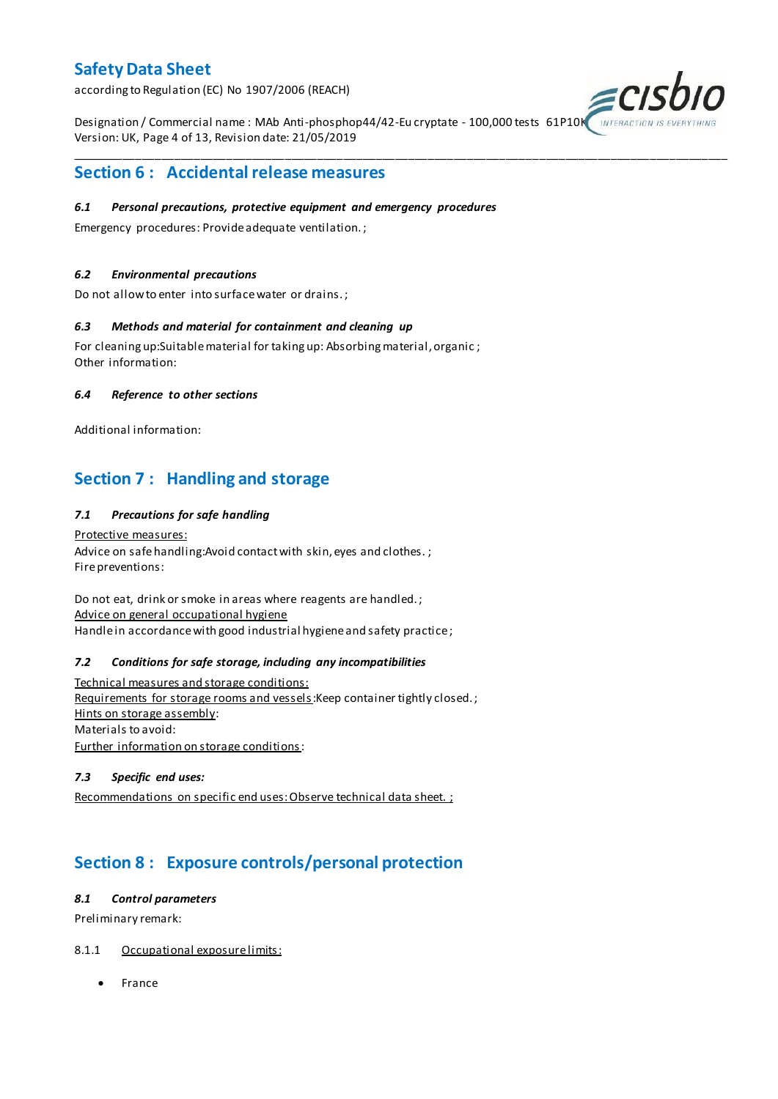according to Regulation (EC) No 1907/2006 (REACH)

Designation / Commercial name : MAb Anti-phosphop44/42-Eu cryptate - 100,000 tests 61P10K Version: UK, Page 4 of 13, Revision date: 21/05/2019

\_\_\_\_\_\_\_\_\_\_\_\_\_\_\_\_\_\_\_\_\_\_\_\_\_\_\_\_\_\_\_\_\_\_\_\_\_\_\_\_\_\_\_\_\_\_\_\_\_\_\_\_\_\_\_\_\_\_\_\_\_\_\_\_\_\_\_\_\_\_\_\_\_\_\_\_\_\_\_\_\_\_\_\_\_\_\_\_\_\_\_\_\_\_\_\_\_\_\_\_\_



## **Section 6 : Accidental release measures**

### *6.1 Personal precautions, protective equipment and emergency procedures*

Emergency procedures: Provide adequate ventilation. ;

### *6.2 Environmental precautions*

Do not allow to enter into surface water or drains. ;

### *6.3 Methods and material for containment and cleaning up*

For cleaning up:Suitable material for taking up: Absorbing material, organic ; Other information:

### *6.4 Reference to other sections*

Additional information:

## **Section 7 : Handling and storage**

### *7.1 Precautions for safe handling*

Protective measures: Advice on safe handling: Avoid contact with skin, eyes and clothes.; Fire preventions:

Do not eat, drink or smoke in areas where reagents are handled. ; Advice on general occupational hygiene Handle in accordance with good industrial hygiene and safety practice;

### *7.2 Conditions for safe storage, including any incompatibilities*

Technical measures and storage conditions: Requirements for storage rooms and vessels: Keep container tightly closed.; Hints on storage assembly: Materials to avoid: Further information on storage conditions:

### *7.3 Specific end uses:*

Recommendations on specific end uses: Observe technical data sheet. ;

## **Section 8 : Exposure controls/personal protection**

### *8.1 Control parameters*

Preliminary remark:

### 8.1.1 Occupational exposure limits:

• France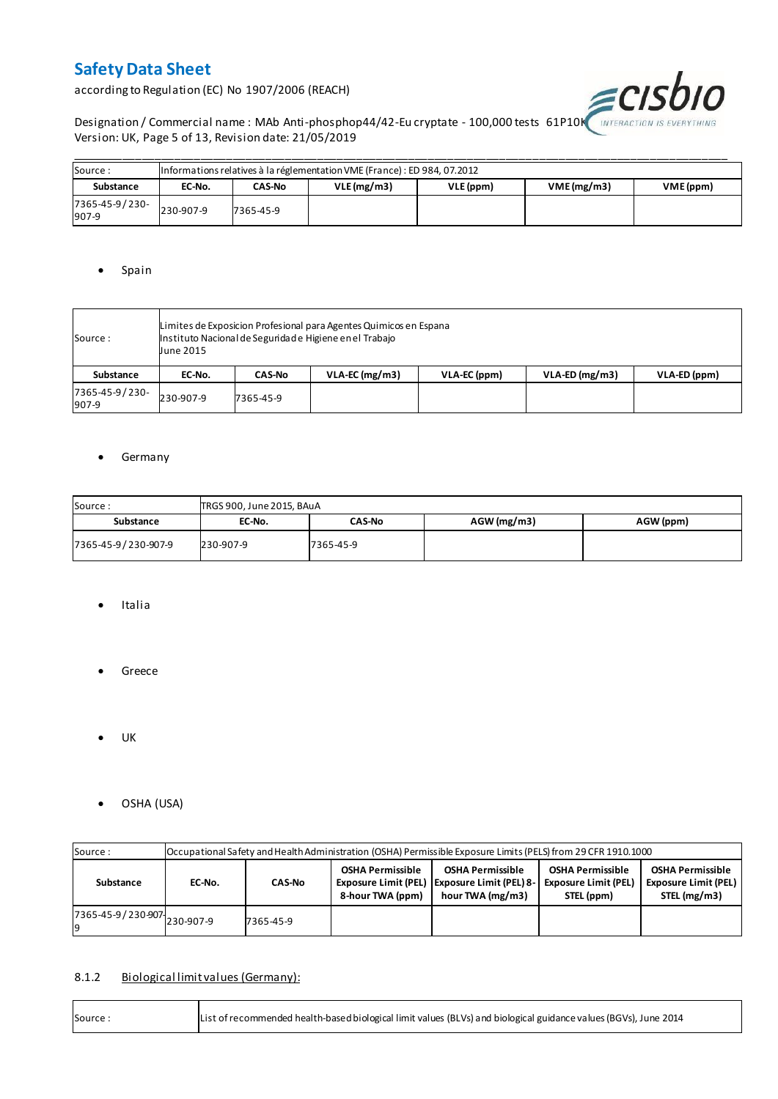according to Regulation (EC) No 1907/2006 (REACH)



Designation / Commercial name : MAb Anti-phosphop44/42-Eu cryptate - 100,000 tests 61P10K INTERACTION IS EVERYTHING Version: UK, Page 5 of 13, Revision date: 21/05/2019

| Source:                 |           | Informations relatives à la réglementation VME (France) : ED 984, 07.2012 |            |           |           |  |  |  |  |  |  |  |  |
|-------------------------|-----------|---------------------------------------------------------------------------|------------|-----------|-----------|--|--|--|--|--|--|--|--|
| Substance               | EC-No.    | CAS-No                                                                    | VLE(mg/m3) | VLE (ppm) | VME (ppm) |  |  |  |  |  |  |  |  |
| 7365-45-9/230-<br>907-9 | 230-907-9 | 7365-45-9                                                                 |            |           |           |  |  |  |  |  |  |  |  |

### • Spain

| Source :                | <b>June 2015</b> | Limites de Exposicion Profesional para Agentes Quimicos en Espana<br>Instituto Nacional de Seguridade Higiene en el Trabajo |                  |              |                  |              |  |  |  |  |  |  |
|-------------------------|------------------|-----------------------------------------------------------------------------------------------------------------------------|------------------|--------------|------------------|--------------|--|--|--|--|--|--|
| Substance               | EC-No.           | <b>CAS-No</b>                                                                                                               | $VLA-EC$ (mg/m3) | VLA-EC (ppm) | $VLA-ED (mg/m3)$ | VLA-ED (ppm) |  |  |  |  |  |  |
| 7365-45-9/230-<br>907-9 | 230-907-9        | 7365-45-9                                                                                                                   |                  |              |                  |              |  |  |  |  |  |  |

### **•** Germany

| Source:             | TRGS 900, June 2015, BAuA |           |               |           |  |  |  |  |  |  |  |
|---------------------|---------------------------|-----------|---------------|-----------|--|--|--|--|--|--|--|
| Substance           | EC-No.                    |           | $AGW$ (mg/m3) | AGW (ppm) |  |  |  |  |  |  |  |
| 7365-45-9/230-907-9 | 230-907-9                 | 7365-45-9 |               |           |  |  |  |  |  |  |  |

- Italia
- **•** Greece
- $\bullet$  UK
- OSHA (USA)

| Source:                     | Occupational Safety and Health Administration (OSHA) Permissible Exposure Limits (PELS) from 29 CFR 1910.1000 |           |                                             |                                                                                               |                                                                      |                                                                 |  |  |  |  |
|-----------------------------|---------------------------------------------------------------------------------------------------------------|-----------|---------------------------------------------|-----------------------------------------------------------------------------------------------|----------------------------------------------------------------------|-----------------------------------------------------------------|--|--|--|--|
| Substance                   | <b>CAS-No</b><br>EC-No.                                                                                       |           | <b>OSHA Permissible</b><br>8-hour TWA (ppm) | <b>OSHA Permissible</b><br>Exposure Limit (PEL)   Exposure Limit (PEL) 8-<br>hour TWA (mg/m3) | <b>OSHA Permissible</b><br><b>Exposure Limit (PEL)</b><br>STEL (ppm) | <b>OSHA Permissible</b><br>Exposure Limit (PEL)<br>STEL (mg/m3) |  |  |  |  |
| 7365-45-9/230-907 230-907-9 |                                                                                                               | 7365-45-9 |                                             |                                                                                               |                                                                      |                                                                 |  |  |  |  |

## 8.1.2 Biological limit values (Germany):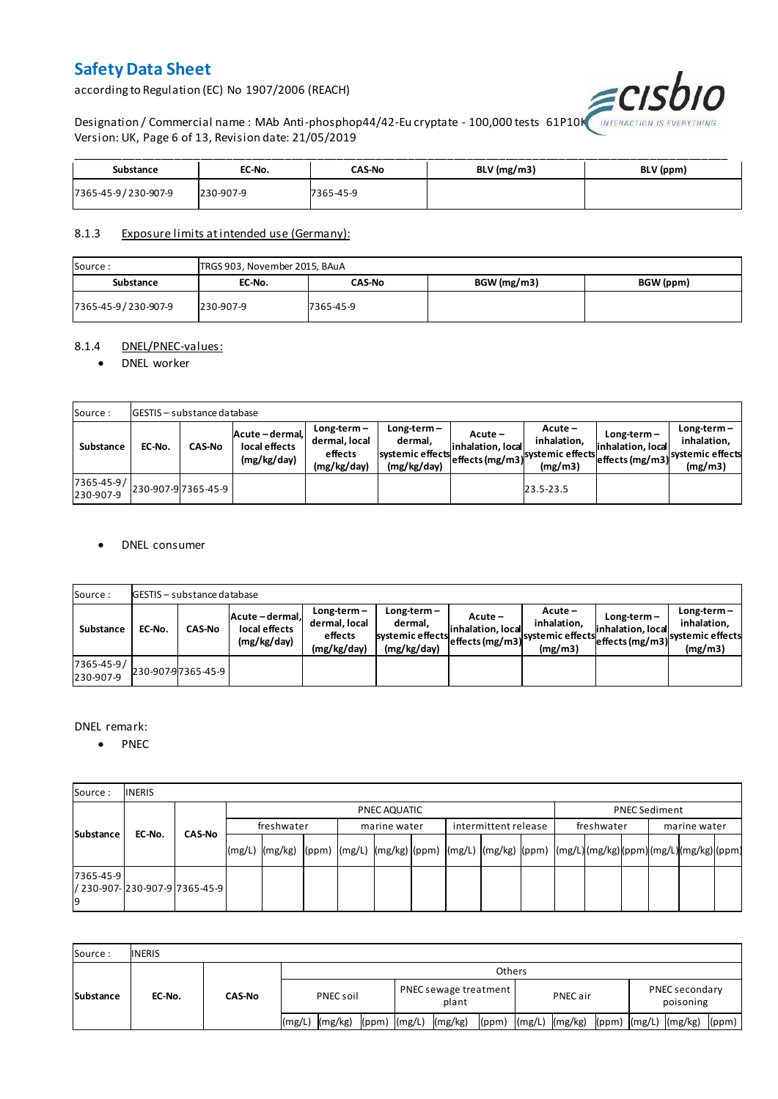according to Regulation (EC) No 1907/2006 (REACH)



Designation / Commercial name : MAb Anti-phosphop44/42-Eu cryptate - 100,000 tests  $|61P10K\rangle$ Version: UK, Page 6 of 13, Revision date: 21/05/2019

| Substance           | EC-No.    | CAS-No    | $BLV$ (mg/m3) | BLV (ppm) |
|---------------------|-----------|-----------|---------------|-----------|
| 7365-45-9/230-907-9 | 230-907-9 | 7365-45-9 |               |           |

### 8.1.3 Exposure limits at intended use (Germany):

| Source:             |           | TRGS 903, November 2015, BAuA |             |           |  |  |  |  |  |  |  |
|---------------------|-----------|-------------------------------|-------------|-----------|--|--|--|--|--|--|--|
| Substance           | EC-No.    | CAS-No                        | BGW (mg/m3) | BGW (ppm) |  |  |  |  |  |  |  |
| 7365-45-9/230-907-9 | 230-907-9 | 7365-45-9                     |             |           |  |  |  |  |  |  |  |

### 8.1.4 DNEL/PNEC-values:

### • DNEL worker

| Source:                 |        | <b>GESTIS</b> - substance database |                                                 |                                                          |                                                           |                                 |                                                                            |                                    |                                                                                 |
|-------------------------|--------|------------------------------------|-------------------------------------------------|----------------------------------------------------------|-----------------------------------------------------------|---------------------------------|----------------------------------------------------------------------------|------------------------------------|---------------------------------------------------------------------------------|
| Substance               | EC-No. | <b>CAS-No</b>                      | Acute - dermal,<br>local effects<br>(mg/kg/day) | $Long-term -$<br>dermal, local<br>effects<br>(mg/kg/day) | Long-term –<br>dermal.<br>systemic effects<br>(mg/kg/day) | $Acute -$<br>linhalation. local | $Acute -$<br>inhalation.<br>vuleffects (mg/m3) systemic effects<br>(mg/m3) | $Long-term -$<br>inhalation, local | $Long-term -$<br>inhalation.<br>~~ leffects (mg/m3) systemic effects<br>(mg/m3) |
| 7365-45-9/<br>230-907-9 |        | 230-907-97365-45-9                 |                                                 |                                                          |                                                           |                                 | 23.5-23.5                                                                  |                                    |                                                                                 |

### DNEL consumer

| Source:                       |        | GESTIS - substance database |                                               |                                                          |                                                             |                              |                                                                           |                                  |                                                                              |  |  |  |  |  |
|-------------------------------|--------|-----------------------------|-----------------------------------------------|----------------------------------------------------------|-------------------------------------------------------------|------------------------------|---------------------------------------------------------------------------|----------------------------------|------------------------------------------------------------------------------|--|--|--|--|--|
| Substance                     | EC-No. | <b>CAS-No</b>               | Acute-dermal.<br>local effects<br>(mg/kg/day) | $Long-term -$<br>dermal, local<br>effects<br>(mg/kg/day) | $Long-term -$<br>dermal,<br>systemic effects<br>(mg/kg/day) | Acute –<br>inhalation, local | $Acute -$<br>inhalation.<br>"leffects (mg/m3) systemic effects<br>(mg/m3) | Long-term –<br>inhalation, local | $Long-term -$<br>inhalation.<br>weffects (mg/m3) systemic effects<br>(mg/m3) |  |  |  |  |  |
| $7365 - 45 - 9/$<br>230-907-9 |        | 230-907-97365-45-9          |                                               |                                                          |                                                             |                              |                                                                           |                                  |                                                                              |  |  |  |  |  |

### DNEL remark:

• PNEC

| Source:         | <b>INERIS</b>                    |               |            |                                                                                                           |  |  |              |  |                      |  |            |  |                      |  |  |
|-----------------|----------------------------------|---------------|------------|-----------------------------------------------------------------------------------------------------------|--|--|--------------|--|----------------------|--|------------|--|----------------------|--|--|
| Substance       |                                  |               |            | PNEC AQUATIC                                                                                              |  |  |              |  |                      |  |            |  | <b>PNEC Sediment</b> |  |  |
|                 | EC-No.                           | <b>CAS-No</b> | freshwater |                                                                                                           |  |  | marine water |  | intermittent release |  | freshwater |  | marine water         |  |  |
|                 |                                  |               | (mg/L)     | (mg/kg)  (ppm)  (mg/L)  (mg/kg)  (ppm)  (mg/L)  (mg/kg)  (ppm)  (mg/L) (mg/kg) (ppm) (mg/L) (mg/kg) (ppm) |  |  |              |  |                      |  |            |  |                      |  |  |
| 7365-45-9<br>19 | l/ 230-907-l230-907-9l7365-45-9l |               |            |                                                                                                           |  |  |              |  |                      |  |            |  |                      |  |  |

| Source:          | <b>INERIS</b> |               |               |         |                  |                                       |         |       |          |                    |  |                             |                      |
|------------------|---------------|---------------|---------------|---------|------------------|---------------------------------------|---------|-------|----------|--------------------|--|-----------------------------|----------------------|
| <b>Substance</b> | EC-No.        | <b>CAS-No</b> | <b>Others</b> |         |                  |                                       |         |       |          |                    |  |                             |                      |
|                  |               |               | PNEC soil     |         |                  | <b>PNEC</b> sewage treatment<br>plant |         |       | PNEC air |                    |  | PNEC secondary<br>poisoning |                      |
|                  |               |               | (mg/L)        | (mg/kg) | $(ppm)$ $(mg/L)$ |                                       | (mg/kg) | (ppm) |          | $(mg/L)$ $(mg/kg)$ |  |                             | (ppm) (mg/L) (mg/kg) |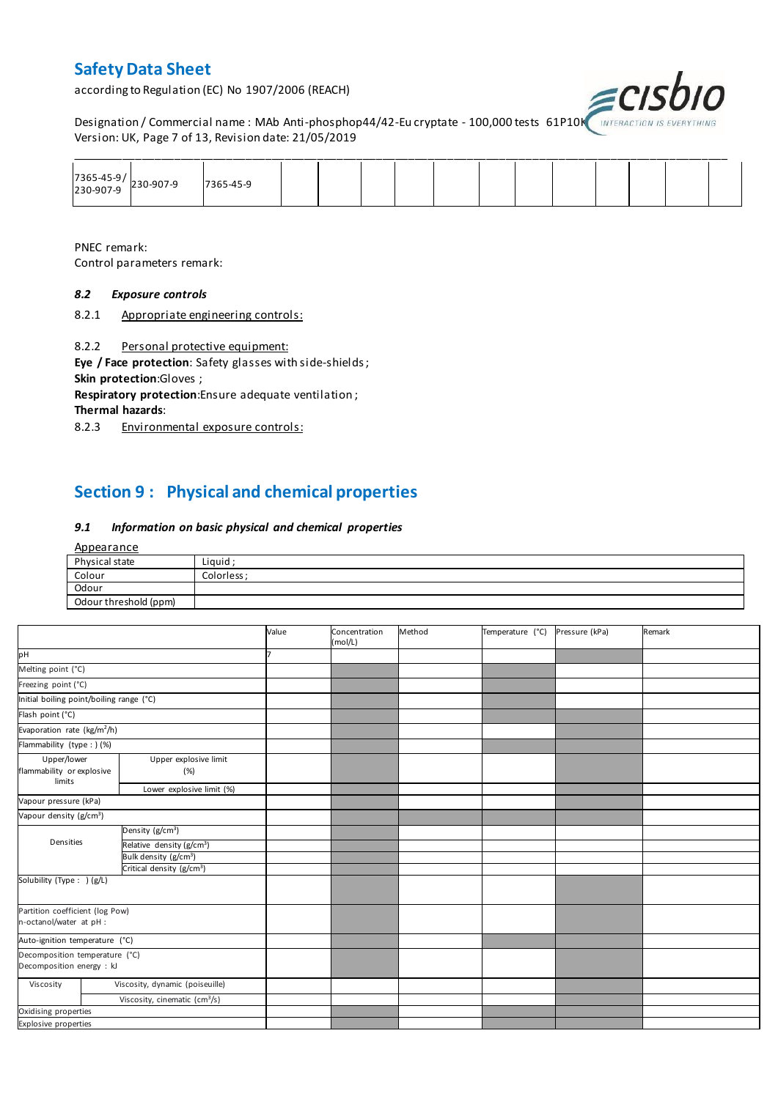according to Regulation (EC) No 1907/2006 (REACH)



Designation / Commercial name : MAb Anti-phosphop44/42-Eu cryptate - 100,000 tests 61P10K INTERACTION IS I Version: UK, Page 7 of 13, Revision date: 21/05/2019

| 7365-45-9/<br>230-907-9 230-907-9 | 7365-45-9 |  |  |  |  |  |  |
|-----------------------------------|-----------|--|--|--|--|--|--|

PNEC remark: Control parameters remark:

### *8.2 Exposure controls*

8.2.1 Appropriate engineering controls:

8.2.2 Personal protective equipment:

**Eye / Face protection**: Safety glasses with side-shields ; **Skin protection**:Gloves ;

**Respiratory protection**:Ensure adequate ventilation ;

**Thermal hazards**:

8.2.3 Environmental exposure controls:

## **Section 9 : Physical and chemical properties**

#### *9.1 Information on basic physical and chemical properties*

| Appearance            |            |
|-----------------------|------------|
| Physical state        | Liquid ;   |
| Colour                | Colorless: |
| Odour                 |            |
| Odour threshold (ppm) |            |

|                                                             |                                           | Value | Concentration<br>(mol/L) | Method | Temperature (°C) | Pressure (kPa) | Remark |
|-------------------------------------------------------------|-------------------------------------------|-------|--------------------------|--------|------------------|----------------|--------|
| pH                                                          |                                           |       |                          |        |                  |                |        |
| Melting point (°C)                                          |                                           |       |                          |        |                  |                |        |
| Freezing point (°C)                                         |                                           |       |                          |        |                  |                |        |
| Initial boiling point/boiling range (°C)                    |                                           |       |                          |        |                  |                |        |
| Flash point (°C)                                            |                                           |       |                          |        |                  |                |        |
| Evaporation rate (kg/m <sup>2</sup> /h)                     |                                           |       |                          |        |                  |                |        |
| Flammability (type : ) (%)                                  |                                           |       |                          |        |                  |                |        |
| Upper/lower<br>flammability or explosive<br>limits          | Upper explosive limit<br>(%)              |       |                          |        |                  |                |        |
|                                                             | Lower explosive limit (%)                 |       |                          |        |                  |                |        |
| Vapour pressure (kPa)                                       |                                           |       |                          |        |                  |                |        |
| Vapour density (g/cm <sup>3</sup> )                         |                                           |       |                          |        |                  |                |        |
|                                                             | Density (g/cm <sup>3</sup> )              |       |                          |        |                  |                |        |
| Densities                                                   | Relative density (g/cm <sup>3</sup> )     |       |                          |        |                  |                |        |
|                                                             | Bulk density (g/cm <sup>3</sup> )         |       |                          |        |                  |                |        |
|                                                             | Critical density (g/cm <sup>3</sup> )     |       |                          |        |                  |                |        |
| Solubility (Type: ) (g/L)                                   |                                           |       |                          |        |                  |                |        |
| Partition coefficient (log Pow)<br>n-octanol/water at pH :  |                                           |       |                          |        |                  |                |        |
| Auto-ignition temperature (°C)                              |                                           |       |                          |        |                  |                |        |
| Decomposition temperature (°C)<br>Decomposition energy : kJ |                                           |       |                          |        |                  |                |        |
| Viscosity                                                   | Viscosity, dynamic (poiseuille)           |       |                          |        |                  |                |        |
|                                                             | Viscosity, cinematic (cm <sup>3</sup> /s) |       |                          |        |                  |                |        |
| Oxidising properties                                        |                                           |       |                          |        |                  |                |        |
| Explosive properties                                        |                                           |       |                          |        |                  |                |        |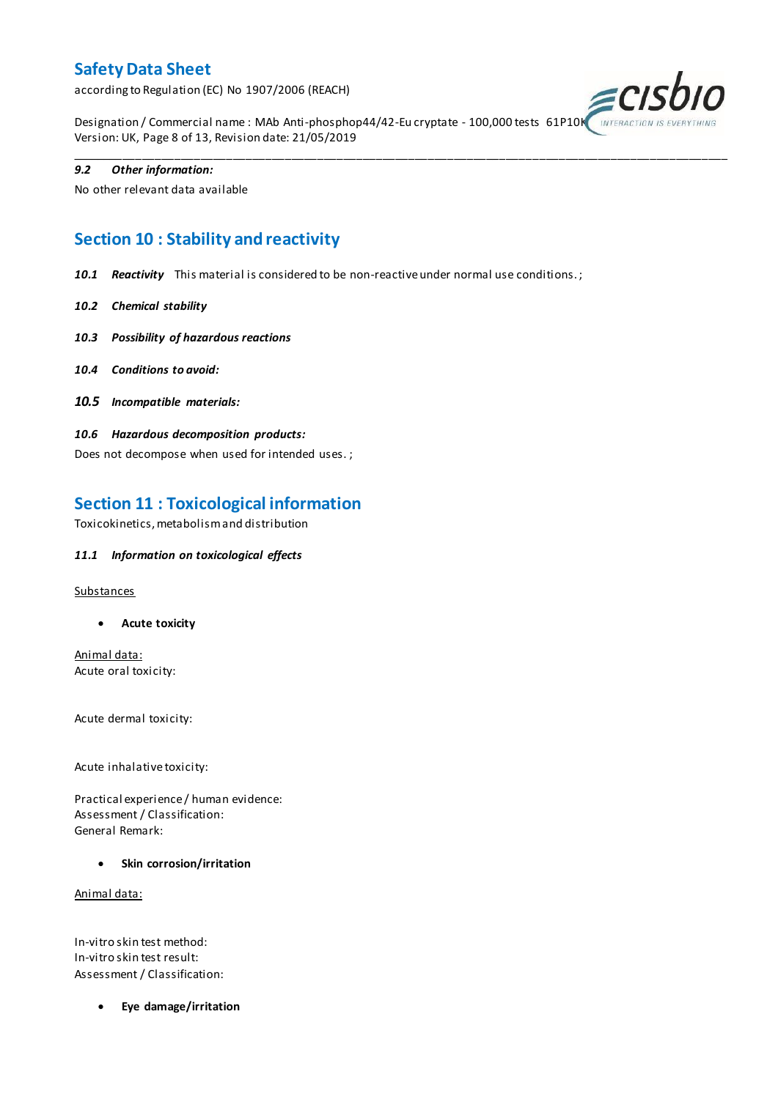according to Regulation (EC) No 1907/2006 (REACH)



Designation / Commercial name : MAb Anti-phosphop44/42-Eu cryptate - 100,000 tests 61P10K Version: UK, Page 8 of 13, Revision date: 21/05/2019

\_\_\_\_\_\_\_\_\_\_\_\_\_\_\_\_\_\_\_\_\_\_\_\_\_\_\_\_\_\_\_\_\_\_\_\_\_\_\_\_\_\_\_\_\_\_\_\_\_\_\_\_\_\_\_\_\_\_\_\_\_\_\_\_\_\_\_\_\_\_\_\_\_\_\_\_\_\_\_\_\_\_\_\_\_\_\_\_\_\_\_\_\_\_\_\_\_\_\_\_\_

#### *9.2 Other information:*

No other relevant data available

## **Section 10 : Stability and reactivity**

*10.1 Reactivity* This material is considered to be non-reactive under normal use conditions. ;

- *10.2 Chemical stability*
- *10.3 Possibility of hazardous reactions*
- *10.4 Conditions to avoid:*
- *10.5 Incompatible materials:*
- *10.6 Hazardous decomposition products:*

Does not decompose when used for intended uses. ;

## **Section 11 : Toxicological information**

Toxicokinetics, metabolism and distribution

### *11.1 Information on toxicological effects*

#### **Substances**

**Acute toxicity**

Animal data: Acute oral toxicity:

Acute dermal toxicity:

Acute inhalative toxicity:

Practical experience / human evidence: Assessment / Classification: General Remark:

**Skin corrosion/irritation**

Animal data:

In-vitro skin test method: In-vitro skin test result: Assessment / Classification:

**Eye damage/irritation**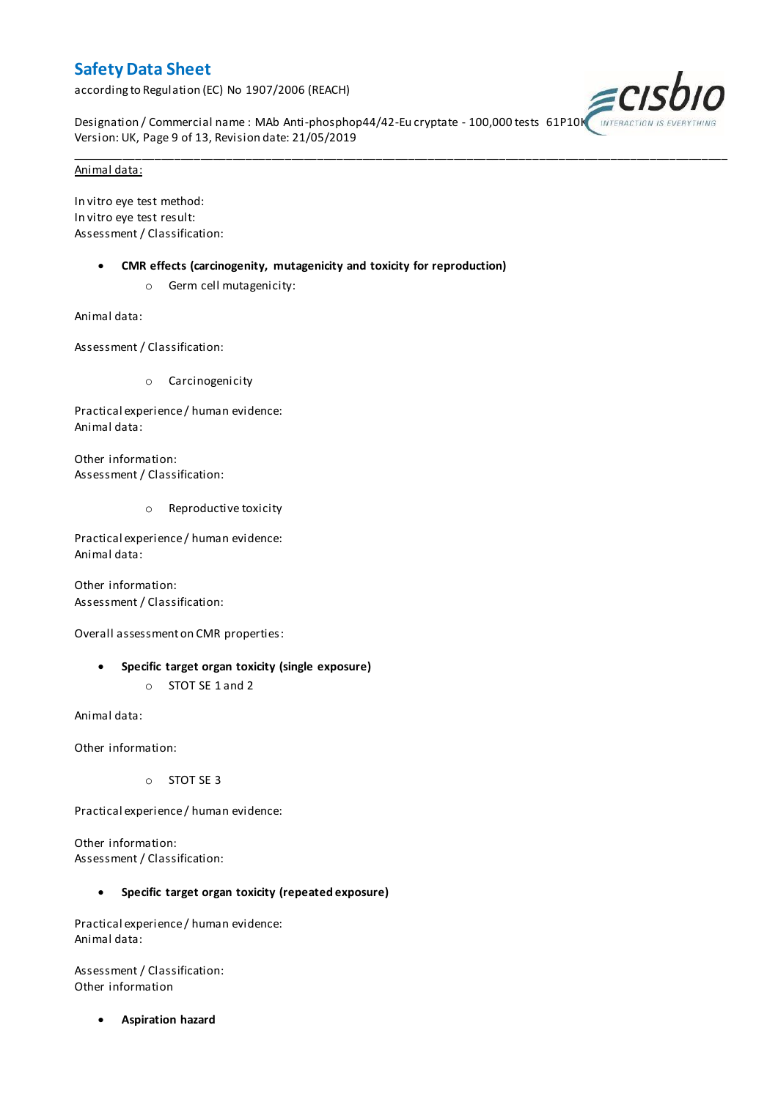according to Regulation (EC) No 1907/2006 (REACH)



Designation / Commercial name : MAb Anti-phosphop44/42-Eu cryptate - 100,000 tests 61P10K Version: UK, Page 9 of 13, Revision date: 21/05/2019

\_\_\_\_\_\_\_\_\_\_\_\_\_\_\_\_\_\_\_\_\_\_\_\_\_\_\_\_\_\_\_\_\_\_\_\_\_\_\_\_\_\_\_\_\_\_\_\_\_\_\_\_\_\_\_\_\_\_\_\_\_\_\_\_\_\_\_\_\_\_\_\_\_\_\_\_\_\_\_\_\_\_\_\_\_\_\_\_\_\_\_\_\_\_\_\_\_\_\_\_\_

#### Animal data:

In vitro eye test method: In vitro eye test result: Assessment / Classification:

- **CMR effects (carcinogenity, mutagenicity and toxicity for reproduction)**
	- o Germ cell mutagenicity:

Animal data:

Assessment / Classification:

o Carcinogenicity

Practical experience / human evidence: Animal data:

Other information: Assessment / Classification:

o Reproductive toxicity

Practical experience / human evidence: Animal data:

Other information: Assessment / Classification:

Overall assessment on CMR properties:

- **Specific target organ toxicity (single exposure)**
	- o STOT SE 1 and 2

Animal data:

Other information:

o STOT SE 3

Practical experience / human evidence:

Other information: Assessment / Classification:

### **Specific target organ toxicity (repeated exposure)**

Practical experience / human evidence: Animal data:

Assessment / Classification: Other information

**Aspiration hazard**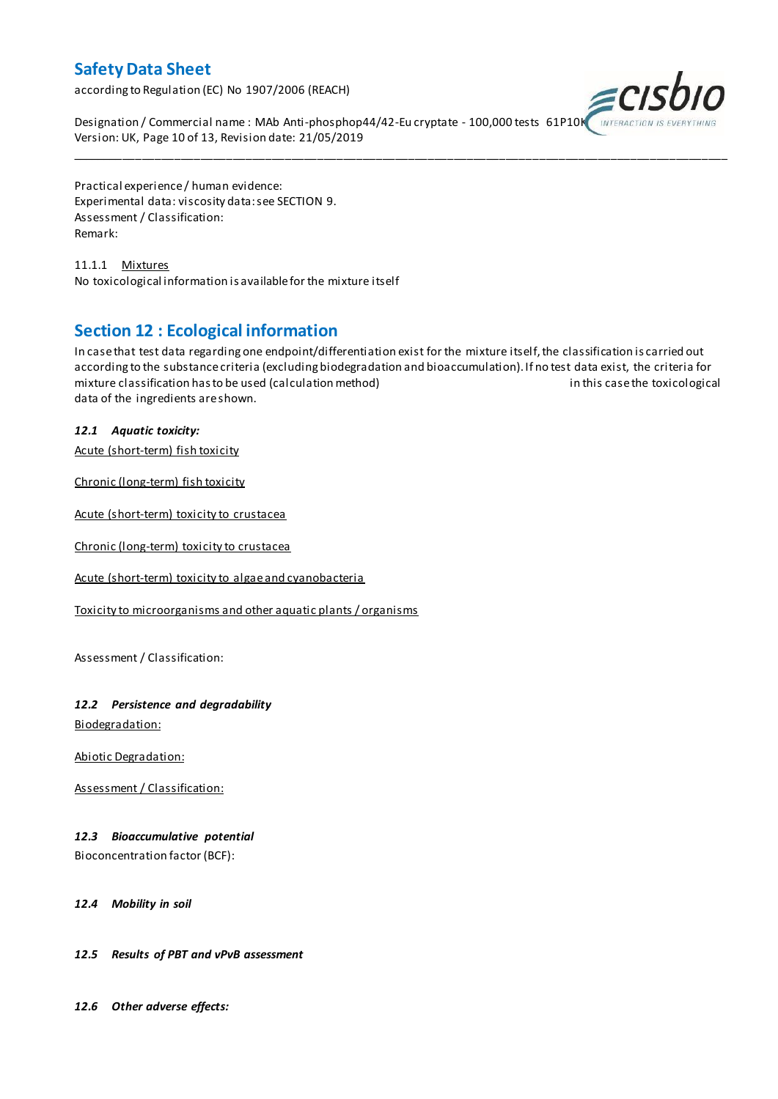according to Regulation (EC) No 1907/2006 (REACH)



Designation / Commercial name : MAb Anti-phosphop44/42-Eu cryptate - 100,000 tests 61P10K Version: UK, Page 10 of 13, Revision date: 21/05/2019

Practical experience / human evidence: Experimental data: viscosity data: see SECTION 9. Assessment / Classification: Remark:

11.1.1 Mixtures No toxicological information is available for the mixture itself

## **Section 12 : Ecological information**

In case that test data regarding one endpoint/differentiation exist for the mixture itself, the classification is carried out according to the substance criteria (excluding biodegradation and bioaccumulation). If no test data exist, the criteria for mixture classification has to be used (calculation method) in this case the toxicological data of the ingredients are shown.

\_\_\_\_\_\_\_\_\_\_\_\_\_\_\_\_\_\_\_\_\_\_\_\_\_\_\_\_\_\_\_\_\_\_\_\_\_\_\_\_\_\_\_\_\_\_\_\_\_\_\_\_\_\_\_\_\_\_\_\_\_\_\_\_\_\_\_\_\_\_\_\_\_\_\_\_\_\_\_\_\_\_\_\_\_\_\_\_\_\_\_\_\_\_\_\_\_\_\_\_\_

## *12.1 Aquatic toxicity:*

Acute (short-term) fish toxicity

Chronic (long-term) fish toxicity

Acute (short-term) toxicity to crustacea

Chronic (long-term) toxicity to crustacea

Acute (short-term) toxicity to algae and cyanobacteria

Toxicity to microorganisms and other aquatic plants / organisms

Assessment / Classification:

### *12.2 Persistence and degradability*

Biodegradation:

Abiotic Degradation:

Assessment / Classification:

### *12.3 Bioaccumulative potential*

Bioconcentration factor (BCF):

### *12.4 Mobility in soil*

### *12.5 Results of PBT and vPvB assessment*

*12.6 Other adverse effects:*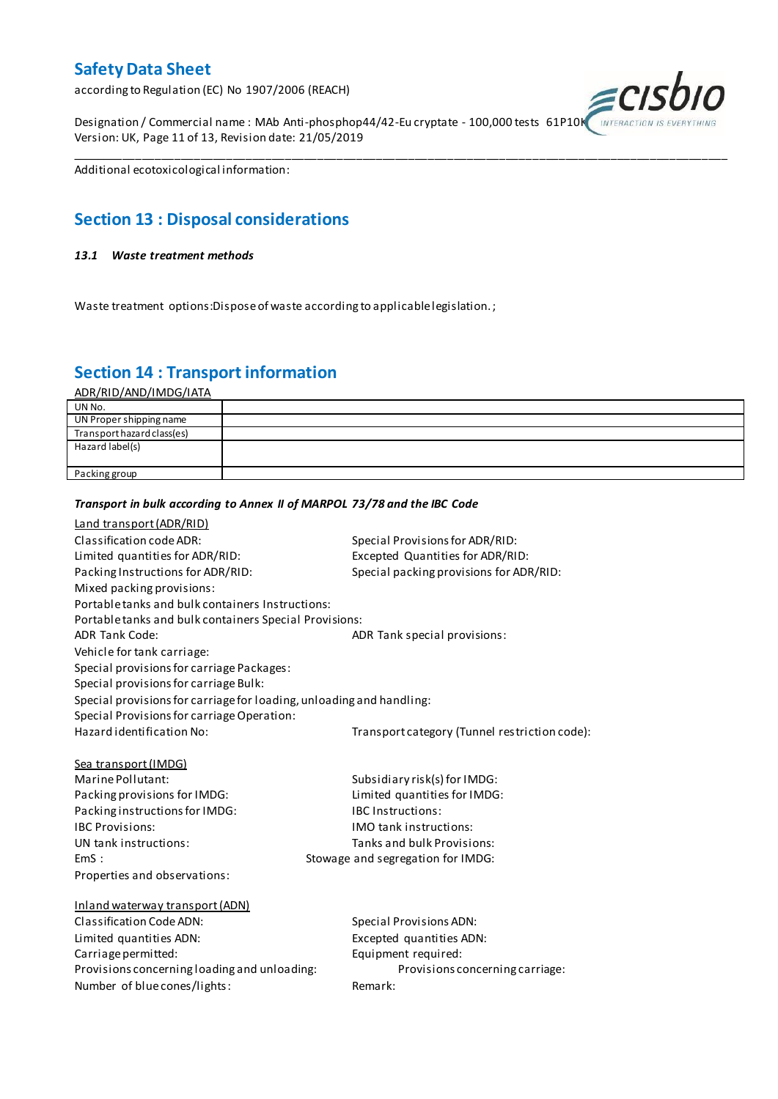according to Regulation (EC) No 1907/2006 (REACH)

Designation / Commercial name : MAb Anti-phosphop44/42-Eu cryptate - 100,000 tests 61P10K Version: UK, Page 11 of 13, Revision date: 21/05/2019



Additional ecotoxicological information:

## **Section 13 : Disposal considerations**

#### *13.1 Waste treatment methods*

Waste treatment options:Dispose of waste according to applicable legislation. ;

*Transport in bulk according to Annex II of MARPOL 73/78 and the IBC Code*

## **Section 14 : Transport information**

ADR/RID/AND/IMDG/IATA

| UN No.                     |  |
|----------------------------|--|
| UN Proper shipping name    |  |
| Transport hazard class(es) |  |
| Hazard label(s)            |  |
|                            |  |
| Packing group              |  |

\_\_\_\_\_\_\_\_\_\_\_\_\_\_\_\_\_\_\_\_\_\_\_\_\_\_\_\_\_\_\_\_\_\_\_\_\_\_\_\_\_\_\_\_\_\_\_\_\_\_\_\_\_\_\_\_\_\_\_\_\_\_\_\_\_\_\_\_\_\_\_\_\_\_\_\_\_\_\_\_\_\_\_\_\_\_\_\_\_\_\_\_\_\_\_\_\_\_\_\_\_

## Land transport (ADR/RID) Classification code ADR: Special Provisions for ADR/RID: Limited quantities for ADR/RID:<br>
Packing Instructions for ADR/RID: Special packing provisions for ADI Special packing provisions for ADR/RID: Mixed packing provisions: Portable tanks and bulk containers Instructions: Portable tanks and bulk containers Special Provisions: ADR Tank Code: ADR Tank special provisions: Vehicle for tank carriage: Special provisions for carriage Packages: Special provisions for carriage Bulk: Special provisions for carriage for loading, unloading and handling: Special Provisions for carriage Operation: Hazard identification No: Transport category (Tunnel restriction code): Sea transport (IMDG) Marine Pollutant: Subsidiary risk(s) for IMDG: Packing provisions for IMDG: Limited quantities for IMDG: Packing instructions for IMDG: IBC Instructions: IBC Provisions: IMO tank instructions: UN tank instructions: Tanks and bulk Provisions: EmS : Stowage and segregation for IMDG: Properties and observations: Inland waterway transport (ADN) Classification Code ADN: Special Provisions ADN: Limited quantities ADN: Excepted quantities ADN: Carriage permitted: Carriage permitted: Provisions concerning loading and unloading: Provisions concerning carriage: Number of blue cones/lights: Remark: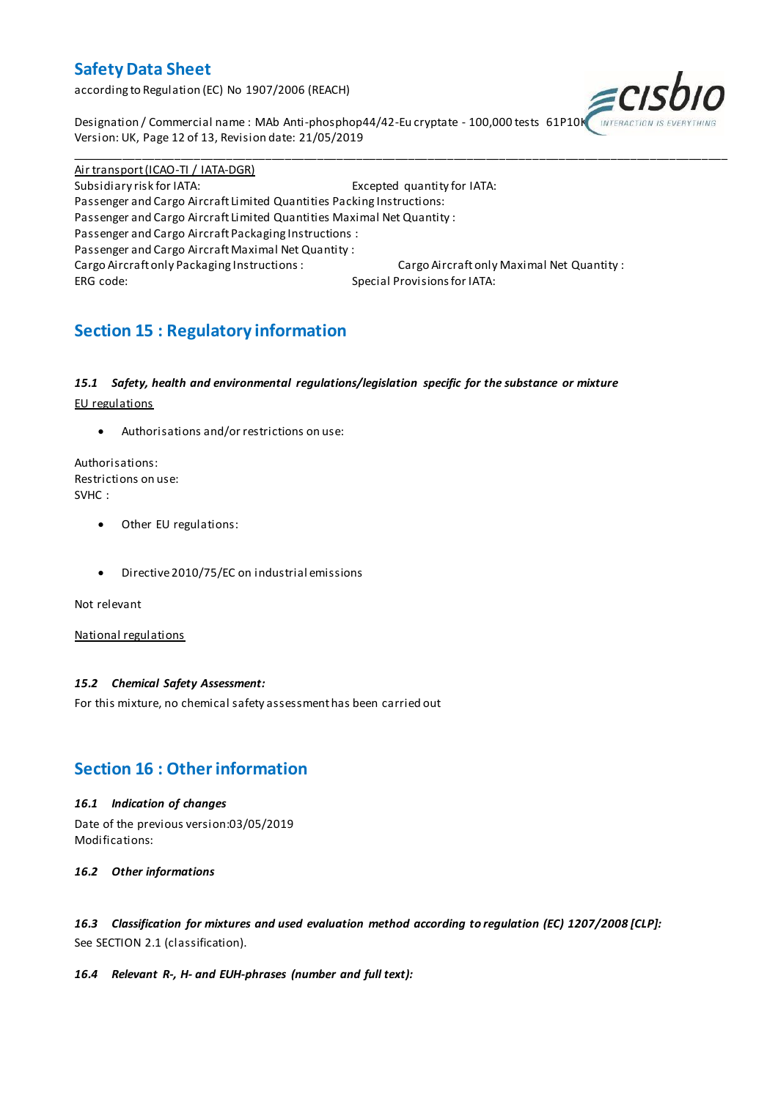according to Regulation (EC) No 1907/2006 (REACH)



Designation / Commercial name : MAb Anti-phosphop44/42-Eu cryptate - 100,000 tests 61P10K Version: UK, Page 12 of 13, Revision date: 21/05/2019

Air transport (ICAO-TI / IATA-DGR) Subsidiary risk for IATA: Excepted quantity for IATA: Passenger and Cargo Aircraft Limited Quantities Packing Instructions: Passenger and Cargo Aircraft Limited Quantities Maximal Net Quantity : Passenger and Cargo Aircraft Packaging Instructions : Passenger and Cargo Aircraft Maximal Net Quantity : Cargo Aircraft only Packaging Instructions : Cargo Aircraft only Maximal Net Quantity : ERG code: Special Provisions for IATA:

\_\_\_\_\_\_\_\_\_\_\_\_\_\_\_\_\_\_\_\_\_\_\_\_\_\_\_\_\_\_\_\_\_\_\_\_\_\_\_\_\_\_\_\_\_\_\_\_\_\_\_\_\_\_\_\_\_\_\_\_\_\_\_\_\_\_\_\_\_\_\_\_\_\_\_\_\_\_\_\_\_\_\_\_\_\_\_\_\_\_\_\_\_\_\_\_\_\_\_\_\_

## **Section 15 : Regulatory information**

### *15.1 Safety, health and environmental regulations/legislation specific for the substance or mixture*

EU regulations

Authorisations and/or restrictions on use:

Authorisations: Restrictions on use: SVHC :

- Other EU regulations:
- Directive 2010/75/EC on industrial emissions

Not relevant

National regulations

### *15.2 Chemical Safety Assessment:*

For this mixture, no chemical safety assessment has been carried out

## **Section 16 : Other information**

### *16.1 Indication of changes*

Date of the previous version:03/05/2019 Modifications:

*16.2 Other informations*

*16.3 Classification for mixtures and used evaluation method according to regulation (EC) 1207/2008 [CLP]:* See SECTION 2.1 (classification).

### *16.4 Relevant R-, H- and EUH-phrases (number and full text):*